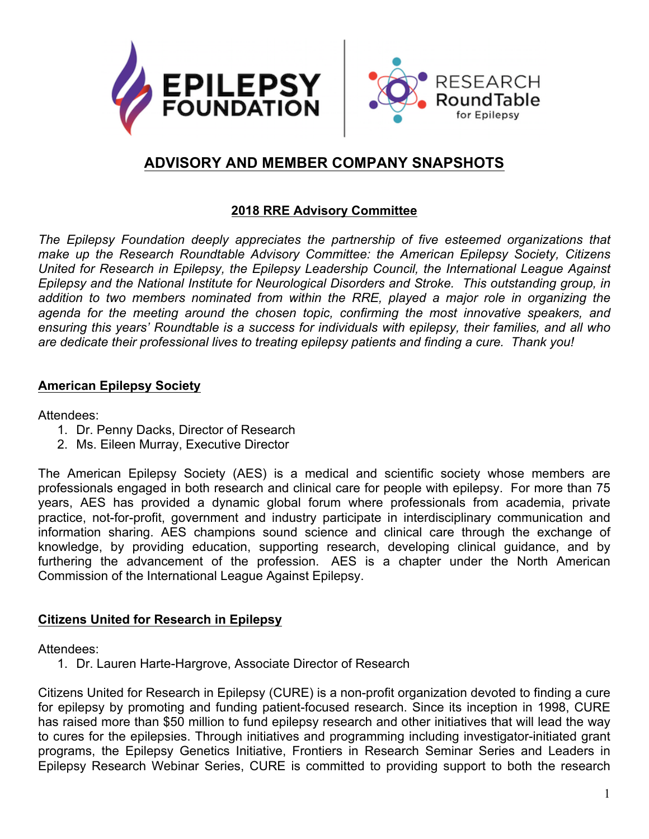



# **ADVISORY AND MEMBER COMPANY SNAPSHOTS**

### **2018 RRE Advisory Committee**

*The Epilepsy Foundation deeply appreciates the partnership of five esteemed organizations that make up the Research Roundtable Advisory Committee: the American Epilepsy Society, Citizens United for Research in Epilepsy, the Epilepsy Leadership Council, the International League Against Epilepsy and the National Institute for Neurological Disorders and Stroke. This outstanding group, in*  addition to two members nominated from within the RRE, played a major role in organizing the agenda for the meeting around the chosen topic, confirming the most innovative speakers, and *ensuring this years' Roundtable is a success for individuals with epilepsy, their families, and all who are dedicate their professional lives to treating epilepsy patients and finding a cure. Thank you!*

### **American Epilepsy Society**

Attendees:

- 1. Dr. Penny Dacks, Director of Research
- 2. Ms. Eileen Murray, Executive Director

The American Epilepsy Society (AES) is a medical and scientific society whose members are professionals engaged in both research and clinical care for people with epilepsy. For more than 75 years, AES has provided a dynamic global forum where professionals from academia, private practice, not-for-profit, government and industry participate in interdisciplinary communication and information sharing. AES champions sound science and clinical care through the exchange of knowledge, by providing education, supporting research, developing clinical guidance, and by furthering the advancement of the profession. AES is a chapter under the North American Commission of the International League Against Epilepsy.

# **Citizens United for Research in Epilepsy**

Attendees:

1. Dr. Lauren Harte-Hargrove, Associate Director of Research

Citizens United for Research in Epilepsy (CURE) is a non-profit organization devoted to finding a cure for epilepsy by promoting and funding patient-focused research. Since its inception in 1998, CURE has raised more than \$50 million to fund epilepsy research and other initiatives that will lead the way to cures for the epilepsies. Through initiatives and programming including investigator-initiated grant programs, the Epilepsy Genetics Initiative, Frontiers in Research Seminar Series and Leaders in Epilepsy Research Webinar Series, CURE is committed to providing support to both the research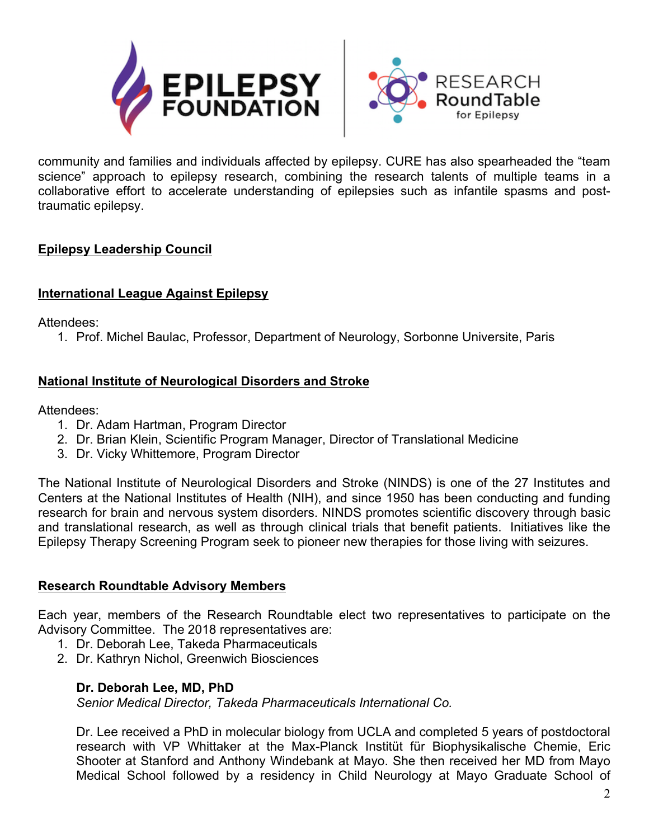



community and families and individuals affected by epilepsy. CURE has also spearheaded the "team science" approach to epilepsy research, combining the research talents of multiple teams in a collaborative effort to accelerate understanding of epilepsies such as infantile spasms and posttraumatic epilepsy.

# **Epilepsy Leadership Council**

# **International League Against Epilepsy**

Attendees:

1. Prof. Michel Baulac, Professor, Department of Neurology, Sorbonne Universite, Paris

# **National Institute of Neurological Disorders and Stroke**

Attendees:

- 1. Dr. Adam Hartman, Program Director
- 2. Dr. Brian Klein, Scientific Program Manager, Director of Translational Medicine
- 3. Dr. Vicky Whittemore, Program Director

The National Institute of Neurological Disorders and Stroke (NINDS) is one of the 27 Institutes and Centers at the National Institutes of Health (NIH), and since 1950 has been conducting and funding research for brain and nervous system disorders. NINDS promotes scientific discovery through basic and translational research, as well as through clinical trials that benefit patients. Initiatives like the Epilepsy Therapy Screening Program seek to pioneer new therapies for those living with seizures.

# **Research Roundtable Advisory Members**

Each year, members of the Research Roundtable elect two representatives to participate on the Advisory Committee. The 2018 representatives are:

- 1. Dr. Deborah Lee, Takeda Pharmaceuticals
- 2. Dr. Kathryn Nichol, Greenwich Biosciences

# **Dr. Deborah Lee, MD, PhD**

*Senior Medical Director, Takeda Pharmaceuticals International Co.*

Dr. Lee received a PhD in molecular biology from UCLA and completed 5 years of postdoctoral research with VP Whittaker at the Max-Planck Institüt für Biophysikalische Chemie, Eric Shooter at Stanford and Anthony Windebank at Mayo. She then received her MD from Mayo Medical School followed by a residency in Child Neurology at Mayo Graduate School of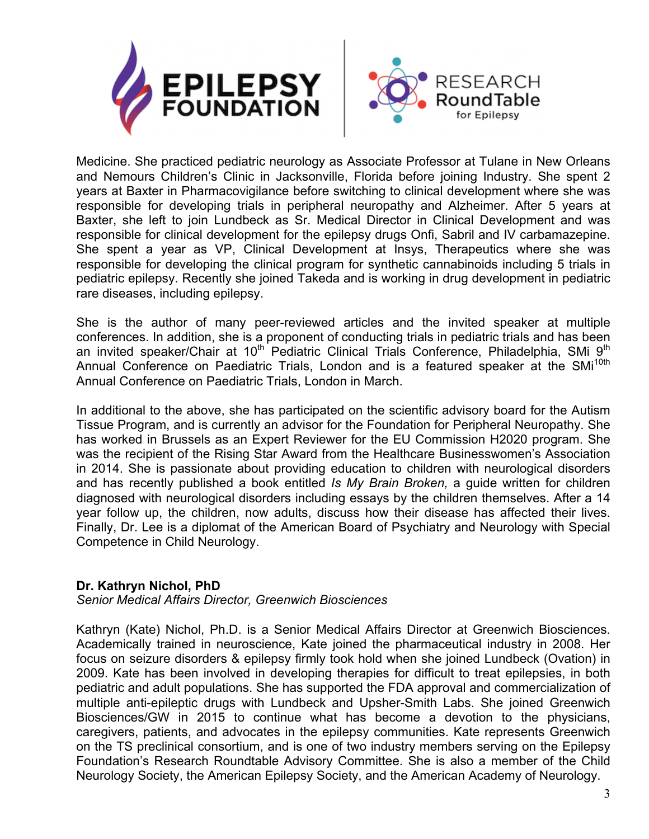



Medicine. She practiced pediatric neurology as Associate Professor at Tulane in New Orleans and Nemours Children's Clinic in Jacksonville, Florida before joining Industry. She spent 2 years at Baxter in Pharmacovigilance before switching to clinical development where she was responsible for developing trials in peripheral neuropathy and Alzheimer. After 5 years at Baxter, she left to join Lundbeck as Sr. Medical Director in Clinical Development and was responsible for clinical development for the epilepsy drugs Onfi, Sabril and IV carbamazepine. She spent a year as VP, Clinical Development at Insys, Therapeutics where she was responsible for developing the clinical program for synthetic cannabinoids including 5 trials in pediatric epilepsy. Recently she joined Takeda and is working in drug development in pediatric rare diseases, including epilepsy.

She is the author of many peer-reviewed articles and the invited speaker at multiple conferences. In addition, she is a proponent of conducting trials in pediatric trials and has been an invited speaker/Chair at 10<sup>th</sup> Pediatric Clinical Trials Conference, Philadelphia, SMi 9<sup>th</sup> Annual Conference on Paediatric Trials, London and is a featured speaker at the SMi<sup>10th</sup> Annual Conference on Paediatric Trials, London in March.

In additional to the above, she has participated on the scientific advisory board for the Autism Tissue Program, and is currently an advisor for the Foundation for Peripheral Neuropathy. She has worked in Brussels as an Expert Reviewer for the EU Commission H2020 program. She was the recipient of the Rising Star Award from the Healthcare Businesswomen's Association in 2014. She is passionate about providing education to children with neurological disorders and has recently published a book entitled *Is My Brain Broken,* a guide written for children diagnosed with neurological disorders including essays by the children themselves. After a 14 year follow up, the children, now adults, discuss how their disease has affected their lives. Finally, Dr. Lee is a diplomat of the American Board of Psychiatry and Neurology with Special Competence in Child Neurology.

# **Dr. Kathryn Nichol, PhD**

*Senior Medical Affairs Director, Greenwich Biosciences*

Kathryn (Kate) Nichol, Ph.D. is a Senior Medical Affairs Director at Greenwich Biosciences. Academically trained in neuroscience, Kate joined the pharmaceutical industry in 2008. Her focus on seizure disorders & epilepsy firmly took hold when she joined Lundbeck (Ovation) in 2009. Kate has been involved in developing therapies for difficult to treat epilepsies, in both pediatric and adult populations. She has supported the FDA approval and commercialization of multiple anti-epileptic drugs with Lundbeck and Upsher-Smith Labs. She joined Greenwich Biosciences/GW in 2015 to continue what has become a devotion to the physicians, caregivers, patients, and advocates in the epilepsy communities. Kate represents Greenwich on the TS preclinical consortium, and is one of two industry members serving on the Epilepsy Foundation's Research Roundtable Advisory Committee. She is also a member of the Child Neurology Society, the American Epilepsy Society, and the American Academy of Neurology.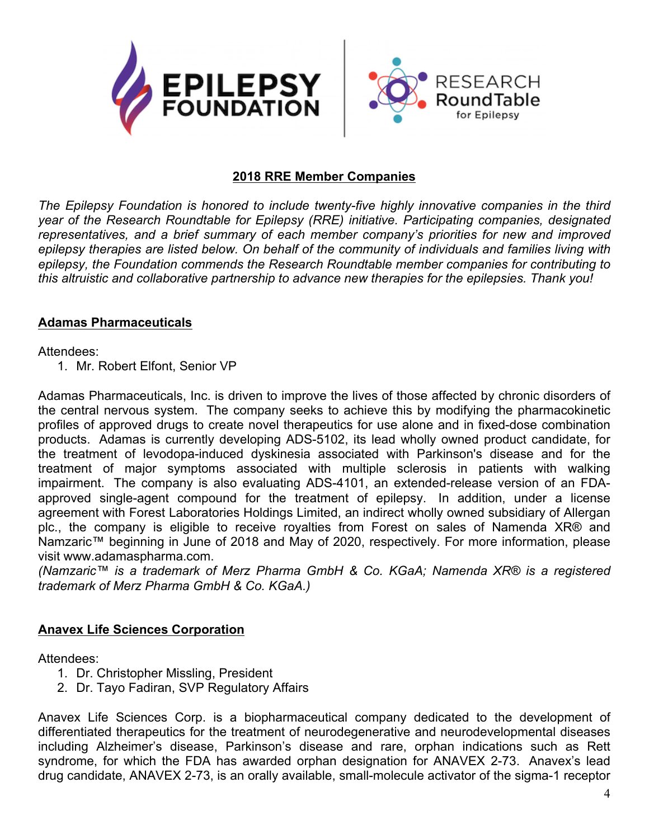

#### **2018 RRE Member Companies**

*The Epilepsy Foundation is honored to include twenty-five highly innovative companies in the third year of the Research Roundtable for Epilepsy (RRE) initiative. Participating companies, designated representatives, and a brief summary of each member company's priorities for new and improved epilepsy therapies are listed below. On behalf of the community of individuals and families living with epilepsy, the Foundation commends the Research Roundtable member companies for contributing to this altruistic and collaborative partnership to advance new therapies for the epilepsies. Thank you!*

#### **Adamas Pharmaceuticals**

Attendees:

1. Mr. Robert Elfont, Senior VP

Adamas Pharmaceuticals, Inc. is driven to improve the lives of those affected by chronic disorders of the central nervous system. The company seeks to achieve this by modifying the pharmacokinetic profiles of approved drugs to create novel therapeutics for use alone and in fixed-dose combination products. Adamas is currently developing ADS-5102, its lead wholly owned product candidate, for the treatment of levodopa-induced dyskinesia associated with Parkinson's disease and for the treatment of major symptoms associated with multiple sclerosis in patients with walking impairment. The company is also evaluating ADS-4101, an extended-release version of an FDAapproved single-agent compound for the treatment of epilepsy. In addition, under a license agreement with Forest Laboratories Holdings Limited, an indirect wholly owned subsidiary of Allergan plc., the company is eligible to receive royalties from Forest on sales of Namenda XR® and Namzaric™ beginning in June of 2018 and May of 2020, respectively. For more information, please visit www.adamaspharma.com.

*(Namzaric™ is a trademark of Merz Pharma GmbH & Co. KGaA; Namenda XR® is a registered trademark of Merz Pharma GmbH & Co. KGaA.)*

# **Anavex Life Sciences Corporation**

Attendees:

- 1. Dr. Christopher Missling, President
- 2. Dr. Tayo Fadiran, SVP Regulatory Affairs

Anavex Life Sciences Corp. is a biopharmaceutical company dedicated to the development of differentiated therapeutics for the treatment of neurodegenerative and neurodevelopmental diseases including Alzheimer's disease, Parkinson's disease and rare, orphan indications such as Rett syndrome, for which the FDA has awarded orphan designation for ANAVEX 2-73. Anavex's lead drug candidate, ANAVEX 2-73, is an orally available, small-molecule activator of the sigma-1 receptor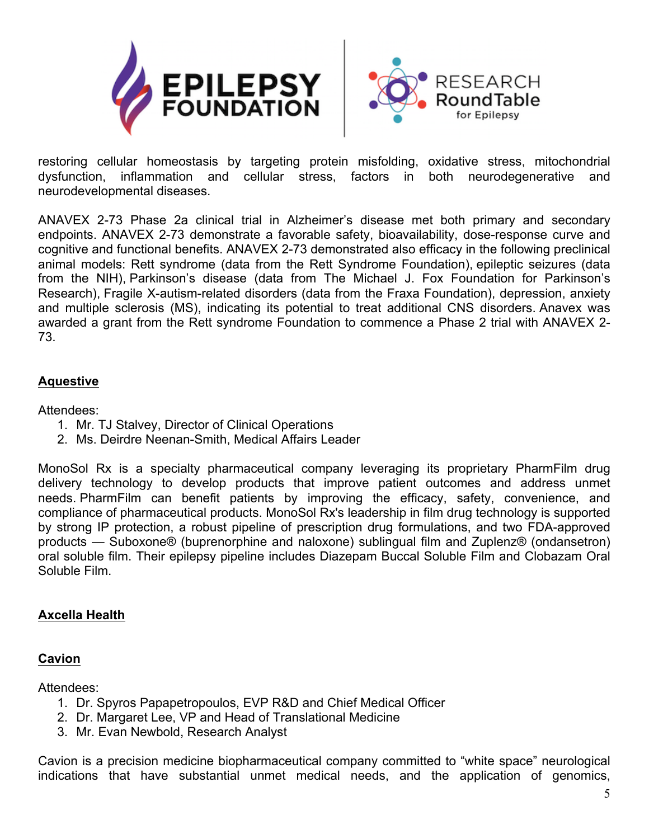



restoring cellular homeostasis by targeting protein misfolding, oxidative stress, mitochondrial dysfunction, inflammation and cellular stress, factors in both neurodegenerative and neurodevelopmental diseases.

ANAVEX 2-73 Phase 2a clinical trial in Alzheimer's disease met both primary and secondary endpoints. ANAVEX 2-73 demonstrate a favorable safety, bioavailability, dose-response curve and cognitive and functional benefits. ANAVEX 2-73 demonstrated also efficacy in the following preclinical animal models: Rett syndrome (data from the Rett Syndrome Foundation), epileptic seizures (data from the NIH), Parkinson's disease (data from The Michael J. Fox Foundation for Parkinson's Research), Fragile X-autism-related disorders (data from the Fraxa Foundation), depression, anxiety and multiple sclerosis (MS), indicating its potential to treat additional CNS disorders. Anavex was awarded a grant from the Rett syndrome Foundation to commence a Phase 2 trial with ANAVEX 2- 73.

# **Aquestive**

Attendees:

- 1. Mr. TJ Stalvey, Director of Clinical Operations
- 2. Ms. Deirdre Neenan-Smith, Medical Affairs Leader

MonoSol Rx is a specialty pharmaceutical company leveraging its proprietary PharmFilm drug delivery technology to develop products that improve patient outcomes and address unmet needs. PharmFilm can benefit patients by improving the efficacy, safety, convenience, and compliance of pharmaceutical products. MonoSol Rx's leadership in film drug technology is supported by strong IP protection, a robust pipeline of prescription drug formulations, and two FDA-approved products — Suboxone® (buprenorphine and naloxone) sublingual film and Zuplenz® (ondansetron) oral soluble film. Their epilepsy pipeline includes Diazepam Buccal Soluble Film and Clobazam Oral Soluble Film.

# **Axcella Health**

# **Cavion**

Attendees:

- 1. Dr. Spyros Papapetropoulos, EVP R&D and Chief Medical Officer
- 2. Dr. Margaret Lee, VP and Head of Translational Medicine
- 3. Mr. Evan Newbold, Research Analyst

Cavion is a precision medicine biopharmaceutical company committed to "white space" neurological indications that have substantial unmet medical needs, and the application of genomics,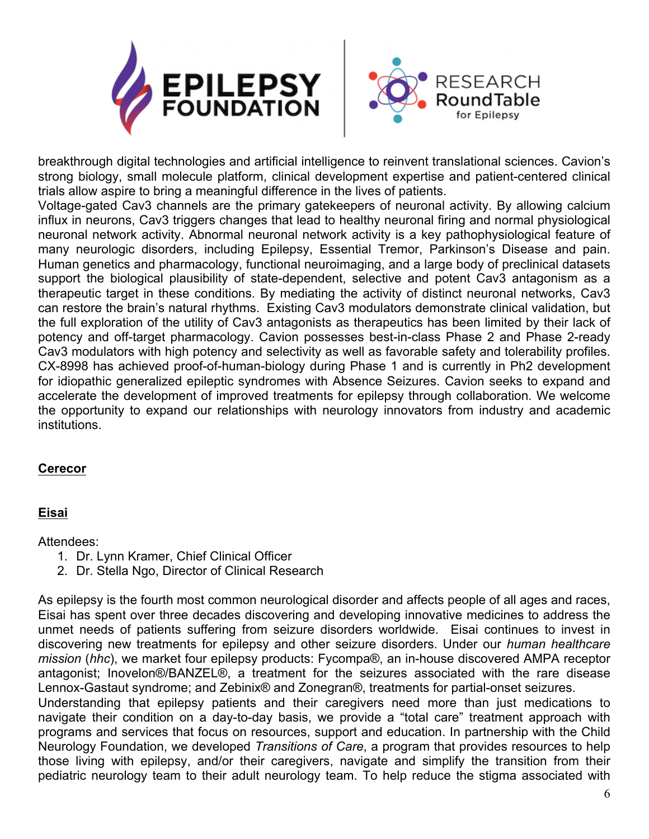



breakthrough digital technologies and artificial intelligence to reinvent translational sciences. Cavion's strong biology, small molecule platform, clinical development expertise and patient-centered clinical trials allow aspire to bring a meaningful difference in the lives of patients.

Voltage-gated Cav3 channels are the primary gatekeepers of neuronal activity. By allowing calcium influx in neurons, Cav3 triggers changes that lead to healthy neuronal firing and normal physiological neuronal network activity. Abnormal neuronal network activity is a key pathophysiological feature of many neurologic disorders, including Epilepsy, Essential Tremor, Parkinson's Disease and pain. Human genetics and pharmacology, functional neuroimaging, and a large body of preclinical datasets support the biological plausibility of state-dependent, selective and potent Cav3 antagonism as a therapeutic target in these conditions. By mediating the activity of distinct neuronal networks, Cav3 can restore the brain's natural rhythms. Existing Cav3 modulators demonstrate clinical validation, but the full exploration of the utility of Cav3 antagonists as therapeutics has been limited by their lack of potency and off-target pharmacology. Cavion possesses best-in-class Phase 2 and Phase 2-ready Cav3 modulators with high potency and selectivity as well as favorable safety and tolerability profiles. CX-8998 has achieved proof-of-human-biology during Phase 1 and is currently in Ph2 development for idiopathic generalized epileptic syndromes with Absence Seizures. Cavion seeks to expand and accelerate the development of improved treatments for epilepsy through collaboration. We welcome the opportunity to expand our relationships with neurology innovators from industry and academic institutions.

# **Cerecor**

# **Eisai**

#### Attendees:

- 1. Dr. Lynn Kramer, Chief Clinical Officer
- 2. Dr. Stella Ngo, Director of Clinical Research

As epilepsy is the fourth most common neurological disorder and affects people of all ages and races, Eisai has spent over three decades discovering and developing innovative medicines to address the unmet needs of patients suffering from seizure disorders worldwide. Eisai continues to invest in discovering new treatments for epilepsy and other seizure disorders. Under our *human healthcare mission* (*hhc*), we market four epilepsy products: Fycompa®, an in-house discovered AMPA receptor antagonist; Inovelon®/BANZEL®, a treatment for the seizures associated with the rare disease Lennox-Gastaut syndrome; and Zebinix® and Zonegran®, treatments for partial-onset seizures.

Understanding that epilepsy patients and their caregivers need more than just medications to navigate their condition on a day-to-day basis, we provide a "total care" treatment approach with programs and services that focus on resources, support and education. In partnership with the Child Neurology Foundation, we developed *Transitions of Care*, a program that provides resources to help those living with epilepsy, and/or their caregivers, navigate and simplify the transition from their pediatric neurology team to their adult neurology team. To help reduce the stigma associated with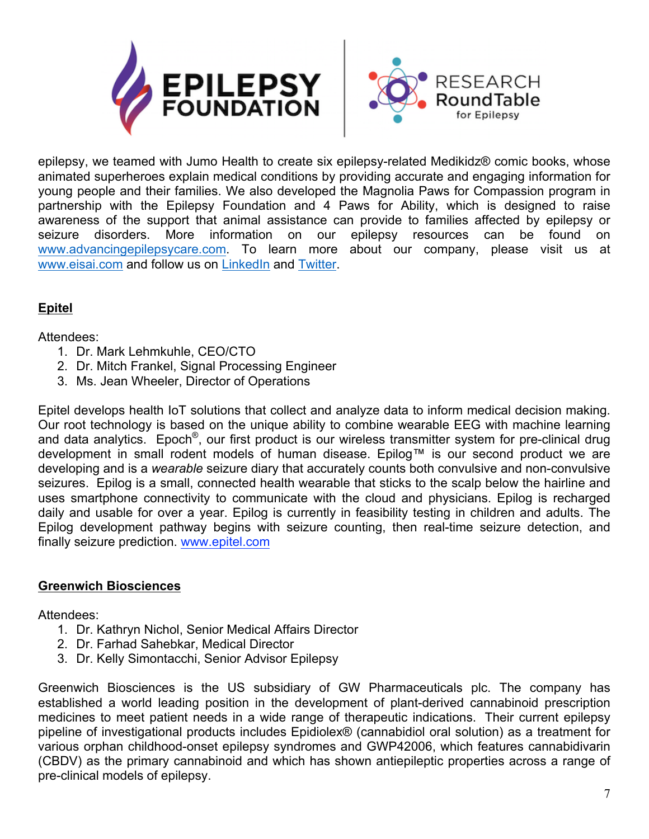



epilepsy, we teamed with Jumo Health to create six epilepsy-related Medikidz® comic books, whose animated superheroes explain medical conditions by providing accurate and engaging information for young people and their families. We also developed the Magnolia Paws for Compassion program in partnership with the Epilepsy Foundation and 4 Paws for Ability, which is designed to raise awareness of the support that animal assistance can provide to families affected by epilepsy or seizure disorders. More information on our epilepsy resources can be found on www.advancingepilepsycare.com. To learn more about our company, please visit us at www.eisai.com and follow us on LinkedIn and Twitter.

# **Epitel**

# Attendees:

- 1. Dr. Mark Lehmkuhle, CEO/CTO
- 2. Dr. Mitch Frankel, Signal Processing Engineer
- 3. Ms. Jean Wheeler, Director of Operations

Epitel develops health IoT solutions that collect and analyze data to inform medical decision making. Our root technology is based on the unique ability to combine wearable EEG with machine learning and data analytics. Epoch®, our first product is our wireless transmitter system for pre-clinical drug development in small rodent models of human disease. Epilog™ is our second product we are developing and is a *wearable* seizure diary that accurately counts both convulsive and non-convulsive seizures. Epilog is a small, connected health wearable that sticks to the scalp below the hairline and uses smartphone connectivity to communicate with the cloud and physicians. Epilog is recharged daily and usable for over a year. Epilog is currently in feasibility testing in children and adults. The Epilog development pathway begins with seizure counting, then real-time seizure detection, and finally seizure prediction. www.epitel.com

# **Greenwich Biosciences**

Attendees:

- 1. Dr. Kathryn Nichol, Senior Medical Affairs Director
- 2. Dr. Farhad Sahebkar, Medical Director
- 3. Dr. Kelly Simontacchi, Senior Advisor Epilepsy

Greenwich Biosciences is the US subsidiary of GW Pharmaceuticals plc. The company has established a world leading position in the development of plant-derived cannabinoid prescription medicines to meet patient needs in a wide range of therapeutic indications. Their current epilepsy pipeline of investigational products includes Epidiolex® (cannabidiol oral solution) as a treatment for various orphan childhood-onset epilepsy syndromes and GWP42006, which features cannabidivarin (CBDV) as the primary cannabinoid and which has shown antiepileptic properties across a range of pre-clinical models of epilepsy.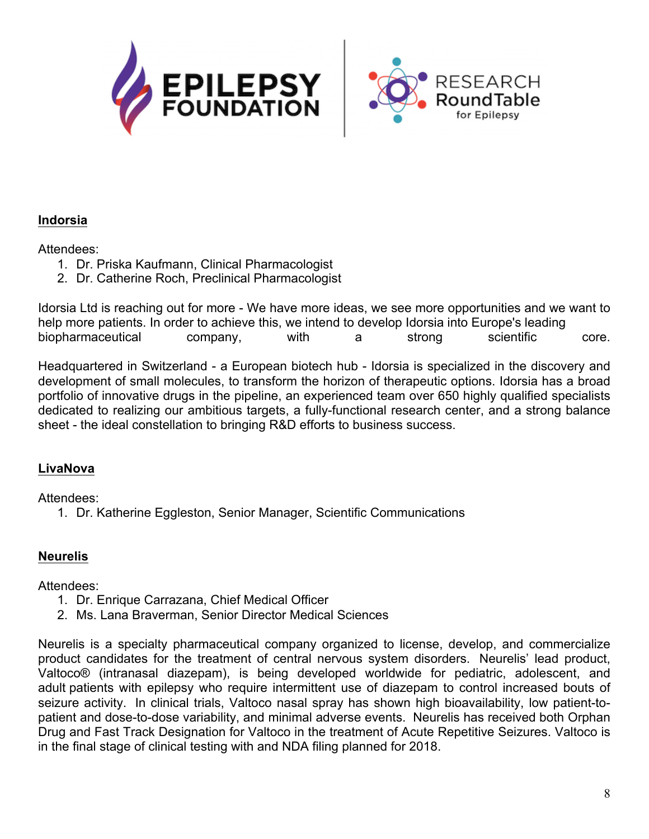



### **Indorsia**

### Attendees:

- 1. Dr. Priska Kaufmann, Clinical Pharmacologist
- 2. Dr. Catherine Roch, Preclinical Pharmacologist

Idorsia Ltd is reaching out for more - We have more ideas, we see more opportunities and we want to help more patients. In order to achieve this, we intend to develop Idorsia into Europe's leading biopharmaceutical company, with a strong scientific core.

Headquartered in Switzerland - a European biotech hub - Idorsia is specialized in the discovery and development of small molecules, to transform the horizon of therapeutic options. Idorsia has a broad portfolio of innovative drugs in the pipeline, an experienced team over 650 highly qualified specialists dedicated to realizing our ambitious targets, a fully-functional research center, and a strong balance sheet - the ideal constellation to bringing R&D efforts to business success.

# **LivaNova**

Attendees:

1. Dr. Katherine Eggleston, Senior Manager, Scientific Communications

# **Neurelis**

Attendees:

- 1. Dr. Enrique Carrazana, Chief Medical Officer
- 2. Ms. Lana Braverman, Senior Director Medical Sciences

Neurelis is a specialty pharmaceutical company organized to license, develop, and commercialize product candidates for the treatment of central nervous system disorders. Neurelis' lead product, Valtoco® (intranasal diazepam), is being developed worldwide for pediatric, adolescent, and adult patients with epilepsy who require intermittent use of diazepam to control increased bouts of seizure activity. In clinical trials, Valtoco nasal spray has shown high bioavailability, low patient-topatient and dose-to-dose variability, and minimal adverse events. Neurelis has received both Orphan Drug and Fast Track Designation for Valtoco in the treatment of Acute Repetitive Seizures. Valtoco is in the final stage of clinical testing with and NDA filing planned for 2018.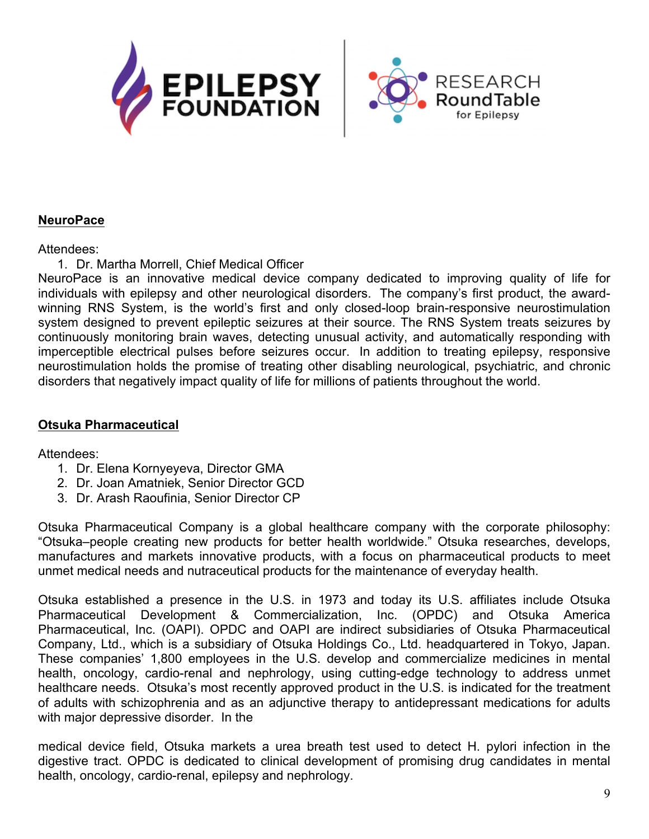



### **NeuroPace**

#### Attendees:

1. Dr. Martha Morrell, Chief Medical Officer

NeuroPace is an innovative medical device company dedicated to improving quality of life for individuals with epilepsy and other neurological disorders. The company's first product, the awardwinning RNS System, is the world's first and only closed-loop brain-responsive neurostimulation system designed to prevent epileptic seizures at their source. The RNS System treats seizures by continuously monitoring brain waves, detecting unusual activity, and automatically responding with imperceptible electrical pulses before seizures occur. In addition to treating epilepsy, responsive neurostimulation holds the promise of treating other disabling neurological, psychiatric, and chronic disorders that negatively impact quality of life for millions of patients throughout the world.

### **Otsuka Pharmaceutical**

Attendees:

- 1. Dr. Elena Kornyeyeva, Director GMA
- 2. Dr. Joan Amatniek, Senior Director GCD
- 3. Dr. Arash Raoufinia, Senior Director CP

Otsuka Pharmaceutical Company is a global healthcare company with the corporate philosophy: "Otsuka–people creating new products for better health worldwide." Otsuka researches, develops, manufactures and markets innovative products, with a focus on pharmaceutical products to meet unmet medical needs and nutraceutical products for the maintenance of everyday health.

Otsuka established a presence in the U.S. in 1973 and today its U.S. affiliates include Otsuka Pharmaceutical Development & Commercialization, Inc. (OPDC) and Otsuka America Pharmaceutical, Inc. (OAPI). OPDC and OAPI are indirect subsidiaries of Otsuka Pharmaceutical Company, Ltd., which is a subsidiary of Otsuka Holdings Co., Ltd. headquartered in Tokyo, Japan. These companies' 1,800 employees in the U.S. develop and commercialize medicines in mental health, oncology, cardio-renal and nephrology, using cutting-edge technology to address unmet healthcare needs. Otsuka's most recently approved product in the U.S. is indicated for the treatment of adults with schizophrenia and as an adjunctive therapy to antidepressant medications for adults with major depressive disorder. In the

medical device field, Otsuka markets a urea breath test used to detect H. pylori infection in the digestive tract. OPDC is dedicated to clinical development of promising drug candidates in mental health, oncology, cardio-renal, epilepsy and nephrology.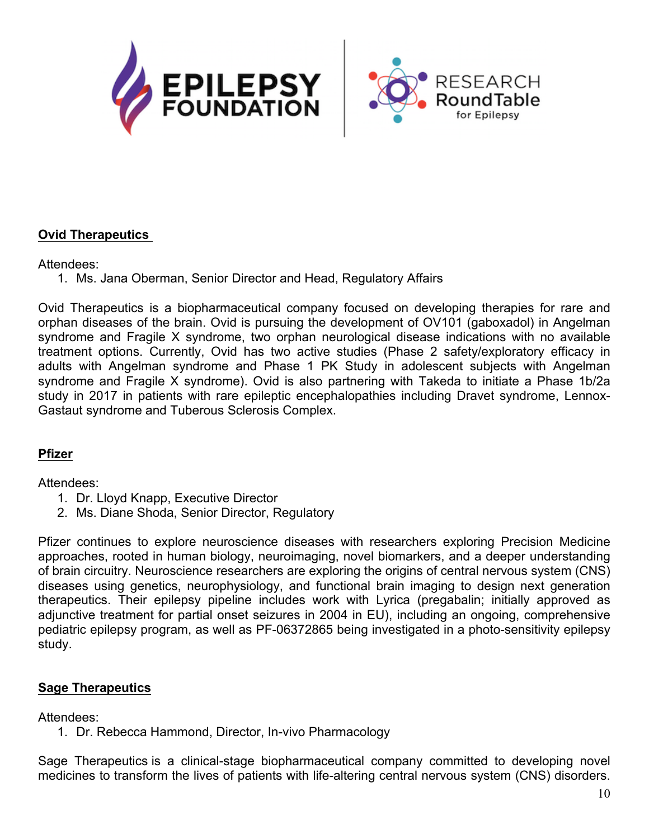



# **Ovid Therapeutics**

#### Attendees:

1. Ms. Jana Oberman, Senior Director and Head, Regulatory Affairs

Ovid Therapeutics is a biopharmaceutical company focused on developing therapies for rare and orphan diseases of the brain. Ovid is pursuing the development of OV101 (gaboxadol) in Angelman syndrome and Fragile X syndrome, two orphan neurological disease indications with no available treatment options. Currently, Ovid has two active studies (Phase 2 safety/exploratory efficacy in adults with Angelman syndrome and Phase 1 PK Study in adolescent subjects with Angelman syndrome and Fragile X syndrome). Ovid is also partnering with Takeda to initiate a Phase 1b/2a study in 2017 in patients with rare epileptic encephalopathies including Dravet syndrome, Lennox-Gastaut syndrome and Tuberous Sclerosis Complex.

# **Pfizer**

#### Attendees:

- 1. Dr. Lloyd Knapp, Executive Director
- 2. Ms. Diane Shoda, Senior Director, Regulatory

Pfizer continues to explore neuroscience diseases with researchers exploring Precision Medicine approaches, rooted in human biology, neuroimaging, novel biomarkers, and a deeper understanding of brain circuitry. Neuroscience researchers are exploring the origins of central nervous system (CNS) diseases using genetics, neurophysiology, and functional brain imaging to design next generation therapeutics. Their epilepsy pipeline includes work with Lyrica (pregabalin; initially approved as adjunctive treatment for partial onset seizures in 2004 in EU), including an ongoing, comprehensive pediatric epilepsy program, as well as PF-06372865 being investigated in a photo-sensitivity epilepsy study.

#### **Sage Therapeutics**

Attendees:

1. Dr. Rebecca Hammond, Director, In-vivo Pharmacology

Sage Therapeutics is a clinical-stage biopharmaceutical company committed to developing novel medicines to transform the lives of patients with life-altering central nervous system (CNS) disorders.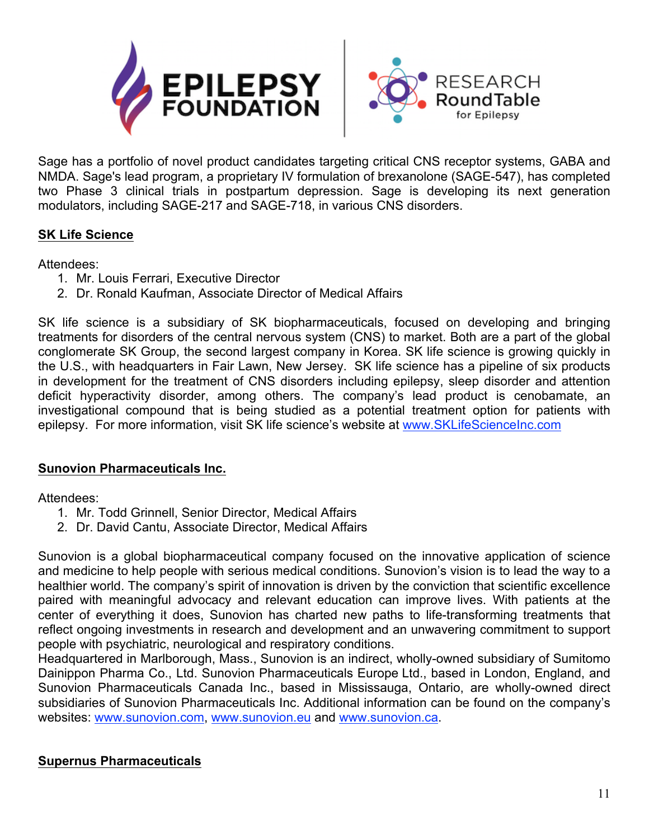

**RESEARCH** 

Sage has a portfolio of novel product candidates targeting critical CNS receptor systems, GABA and NMDA. Sage's lead program, a proprietary IV formulation of brexanolone (SAGE-547), has completed two Phase 3 clinical trials in postpartum depression. Sage is developing its next generation modulators, including SAGE-217 and SAGE-718, in various CNS disorders.

# **SK Life Science**

Attendees:

- 1. Mr. Louis Ferrari, Executive Director
- 2. Dr. Ronald Kaufman, Associate Director of Medical Affairs

SK life science is a subsidiary of SK biopharmaceuticals, focused on developing and bringing treatments for disorders of the central nervous system (CNS) to market. Both are a part of the global conglomerate SK Group, the second largest company in Korea. SK life science is growing quickly in the U.S., with headquarters in Fair Lawn, New Jersey. SK life science has a pipeline of six products in development for the treatment of CNS disorders including epilepsy, sleep disorder and attention deficit hyperactivity disorder, among others. The company's lead product is cenobamate, an investigational compound that is being studied as a potential treatment option for patients with epilepsy. For more information, visit SK life science's website at www.SKLifeScienceInc.com

# **Sunovion Pharmaceuticals Inc.**

Attendees:

- 1. Mr. Todd Grinnell, Senior Director, Medical Affairs
- 2. Dr. David Cantu, Associate Director, Medical Affairs

Sunovion is a global biopharmaceutical company focused on the innovative application of science and medicine to help people with serious medical conditions. Sunovion's vision is to lead the way to a healthier world. The company's spirit of innovation is driven by the conviction that scientific excellence paired with meaningful advocacy and relevant education can improve lives. With patients at the center of everything it does, Sunovion has charted new paths to life-transforming treatments that reflect ongoing investments in research and development and an unwavering commitment to support people with psychiatric, neurological and respiratory conditions.

Headquartered in Marlborough, Mass., Sunovion is an indirect, wholly-owned subsidiary of Sumitomo Dainippon Pharma Co., Ltd. Sunovion Pharmaceuticals Europe Ltd., based in London, England, and Sunovion Pharmaceuticals Canada Inc., based in Mississauga, Ontario, are wholly-owned direct subsidiaries of Sunovion Pharmaceuticals Inc. Additional information can be found on the company's websites: www.sunovion.com, www.sunovion.eu and www.sunovion.ca.

# **Supernus Pharmaceuticals**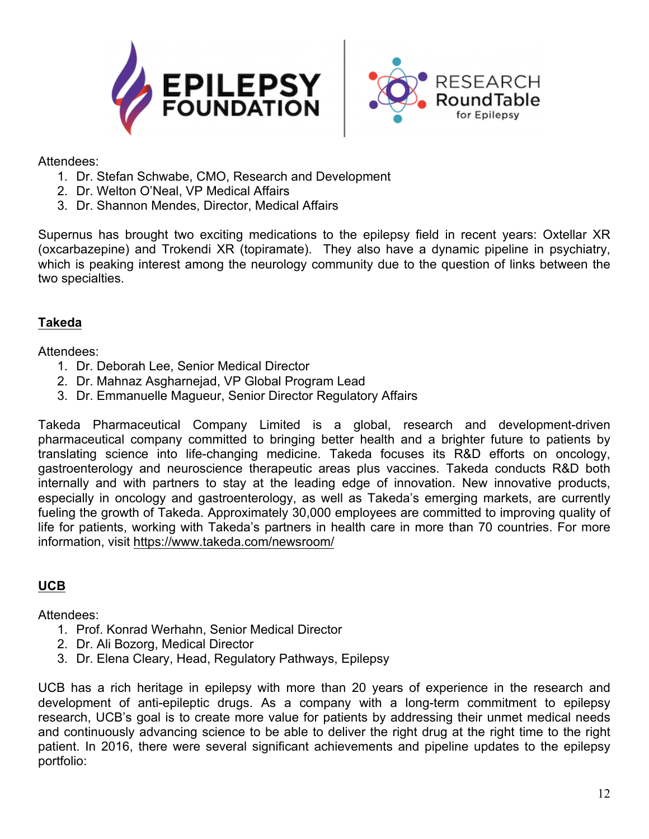



Attendees:

- 1. Dr. Stefan Schwabe, CMO, Research and Development
- 2. Dr. Welton O'Neal, VP Medical Affairs
- 3. Dr. Shannon Mendes, Director, Medical Affairs

Supernus has brought two exciting medications to the epilepsy field in recent years: Oxtellar XR (oxcarbazepine) and Trokendi XR (topiramate). They also have a dynamic pipeline in psychiatry, which is peaking interest among the neurology community due to the question of links between the two specialties.

# **Takeda**

Attendees:

- 1. Dr. Deborah Lee, Senior Medical Director
- 2. Dr. Mahnaz Asgharnejad, VP Global Program Lead
- 3. Dr. Emmanuelle Magueur, Senior Director Regulatory Affairs

Takeda Pharmaceutical Company Limited is a global, research and development-driven pharmaceutical company committed to bringing better health and a brighter future to patients by translating science into life-changing medicine. Takeda focuses its R&D efforts on oncology, gastroenterology and neuroscience therapeutic areas plus vaccines. Takeda conducts R&D both internally and with partners to stay at the leading edge of innovation. New innovative products, especially in oncology and gastroenterology, as well as Takeda's emerging markets, are currently fueling the growth of Takeda. Approximately 30,000 employees are committed to improving quality of life for patients, working with Takeda's partners in health care in more than 70 countries. For more information, visit https://www.takeda.com/newsroom/

# **UCB**

Attendees:

- 1. Prof. Konrad Werhahn, Senior Medical Director
- 2. Dr. Ali Bozorg, Medical Director
- 3. Dr. Elena Cleary, Head, Regulatory Pathways, Epilepsy

UCB has a rich heritage in epilepsy with more than 20 years of experience in the research and development of anti-epileptic drugs. As a company with a long-term commitment to epilepsy research, UCB's goal is to create more value for patients by addressing their unmet medical needs and continuously advancing science to be able to deliver the right drug at the right time to the right patient. In 2016, there were several significant achievements and pipeline updates to the epilepsy portfolio: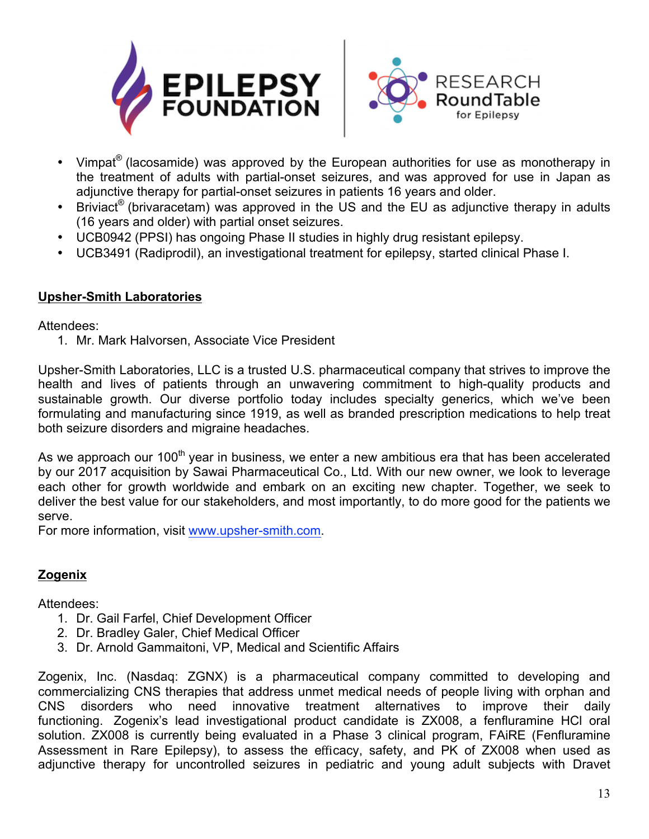



- Vimpat<sup>®</sup> (lacosamide) was approved by the European authorities for use as monotherapy in the treatment of adults with partial-onset seizures, and was approved for use in Japan as adjunctive therapy for partial-onset seizures in patients 16 years and older.
- Briviact<sup>®</sup> (brivaracetam) was approved in the US and the EU as adjunctive therapy in adults (16 years and older) with partial onset seizures.
- UCB0942 (PPSI) has ongoing Phase II studies in highly drug resistant epilepsy.
- UCB3491 (Radiprodil), an investigational treatment for epilepsy, started clinical Phase I.

# **Upsher-Smith Laboratories**

Attendees:

1. Mr. Mark Halvorsen, Associate Vice President

Upsher-Smith Laboratories, LLC is a trusted U.S. pharmaceutical company that strives to improve the health and lives of patients through an unwavering commitment to high-quality products and sustainable growth. Our diverse portfolio today includes specialty generics, which we've been formulating and manufacturing since 1919, as well as branded prescription medications to help treat both seizure disorders and migraine headaches.

As we approach our 100<sup>th</sup> year in business, we enter a new ambitious era that has been accelerated by our 2017 acquisition by Sawai Pharmaceutical Co., Ltd. With our new owner, we look to leverage each other for growth worldwide and embark on an exciting new chapter. Together, we seek to deliver the best value for our stakeholders, and most importantly, to do more good for the patients we serve.

For more information, visit www.upsher-smith.com.

# **Zogenix**

Attendees:

- 1. Dr. Gail Farfel, Chief Development Officer
- 2. Dr. Bradley Galer, Chief Medical Officer
- 3. Dr. Arnold Gammaitoni, VP, Medical and Scientific Affairs

Zogenix, Inc. (Nasdaq: ZGNX) is a pharmaceutical company committed to developing and commercializing CNS therapies that address unmet medical needs of people living with orphan and CNS disorders who need innovative treatment alternatives to improve their daily functioning. Zogenix's lead investigational product candidate is ZX008, a fenfluramine HCl oral solution. ZX008 is currently being evaluated in a Phase 3 clinical program, FAiRE (Fenfluramine Assessment in Rare Epilepsy), to assess the efficacy, safety, and PK of ZX008 when used as adjunctive therapy for uncontrolled seizures in pediatric and young adult subjects with Dravet